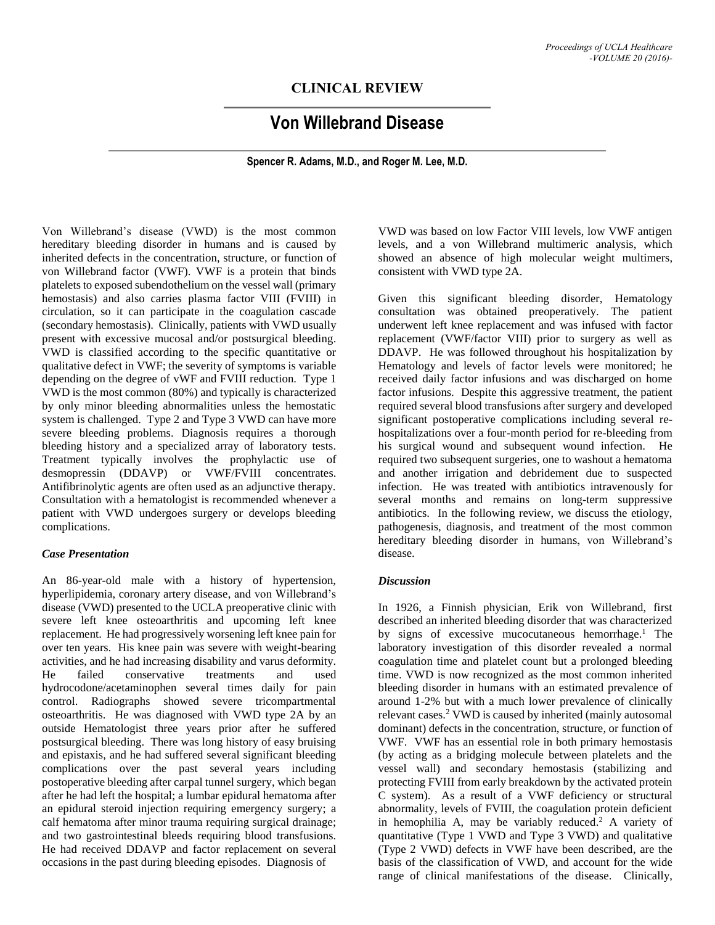# **CLINICAL REVIEW**

# **Von Willebrand Disease**

**Spencer R. Adams, M.D., and Roger M. Lee, M.D.**

Von Willebrand's disease (VWD) is the most common hereditary bleeding disorder in humans and is caused by inherited defects in the concentration, structure, or function of von Willebrand factor (VWF). VWF is a protein that binds platelets to exposed subendothelium on the vessel wall (primary hemostasis) and also carries plasma factor VIII (FVIII) in circulation, so it can participate in the coagulation cascade (secondary hemostasis). Clinically, patients with VWD usually present with excessive mucosal and/or postsurgical bleeding. VWD is classified according to the specific quantitative or qualitative defect in VWF; the severity of symptoms is variable depending on the degree of vWF and FVIII reduction. Type 1 VWD is the most common (80%) and typically is characterized by only minor bleeding abnormalities unless the hemostatic system is challenged. Type 2 and Type 3 VWD can have more severe bleeding problems. Diagnosis requires a thorough bleeding history and a specialized array of laboratory tests. Treatment typically involves the prophylactic use of desmopressin (DDAVP) or VWF/FVIII concentrates. Antifibrinolytic agents are often used as an adjunctive therapy. Consultation with a hematologist is recommended whenever a patient with VWD undergoes surgery or develops bleeding complications.

#### *Case Presentation*

An 86-year-old male with a history of hypertension, hyperlipidemia, coronary artery disease, and von Willebrand's disease (VWD) presented to the UCLA preoperative clinic with severe left knee osteoarthritis and upcoming left knee replacement. He had progressively worsening left knee pain for over ten years. His knee pain was severe with weight-bearing activities, and he had increasing disability and varus deformity. He failed conservative treatments and used hydrocodone/acetaminophen several times daily for pain control. Radiographs showed severe tricompartmental osteoarthritis. He was diagnosed with VWD type 2A by an outside Hematologist three years prior after he suffered postsurgical bleeding. There was long history of easy bruising and epistaxis, and he had suffered several significant bleeding complications over the past several years including postoperative bleeding after carpal tunnel surgery, which began after he had left the hospital; a lumbar epidural hematoma after an epidural steroid injection requiring emergency surgery; a calf hematoma after minor trauma requiring surgical drainage; and two gastrointestinal bleeds requiring blood transfusions. He had received DDAVP and factor replacement on several occasions in the past during bleeding episodes. Diagnosis of

VWD was based on low Factor VIII levels, low VWF antigen levels, and a von Willebrand multimeric analysis, which showed an absence of high molecular weight multimers, consistent with VWD type 2A.

Given this significant bleeding disorder, Hematology consultation was obtained preoperatively. The patient underwent left knee replacement and was infused with factor replacement (VWF/factor VIII) prior to surgery as well as DDAVP. He was followed throughout his hospitalization by Hematology and levels of factor levels were monitored; he received daily factor infusions and was discharged on home factor infusions. Despite this aggressive treatment, the patient required several blood transfusions after surgery and developed significant postoperative complications including several rehospitalizations over a four-month period for re-bleeding from his surgical wound and subsequent wound infection. He required two subsequent surgeries, one to washout a hematoma and another irrigation and debridement due to suspected infection. He was treated with antibiotics intravenously for several months and remains on long-term suppressive antibiotics. In the following review, we discuss the etiology, pathogenesis, diagnosis, and treatment of the most common hereditary bleeding disorder in humans, von Willebrand's disease.

#### *Discussion*

In 1926, a Finnish physician, Erik von Willebrand, first described an inherited bleeding disorder that was characterized by signs of excessive mucocutaneous hemorrhage. <sup>1</sup> The laboratory investigation of this disorder revealed a normal coagulation time and platelet count but a prolonged bleeding time. VWD is now recognized as the most common inherited bleeding disorder in humans with an estimated prevalence of around 1-2% but with a much lower prevalence of clinically relevant cases.<sup>2</sup> VWD is caused by inherited (mainly autosomal dominant) defects in the concentration, structure, or function of VWF. VWF has an essential role in both primary hemostasis (by acting as a bridging molecule between platelets and the vessel wall) and secondary hemostasis (stabilizing and protecting FVIII from early breakdown by the activated protein C system). As a result of a VWF deficiency or structural abnormality, levels of FVIII, the coagulation protein deficient in hemophilia A, may be variably reduced. <sup>2</sup> A variety of quantitative (Type 1 VWD and Type 3 VWD) and qualitative (Type 2 VWD) defects in VWF have been described, are the basis of the classification of VWD, and account for the wide range of clinical manifestations of the disease. Clinically,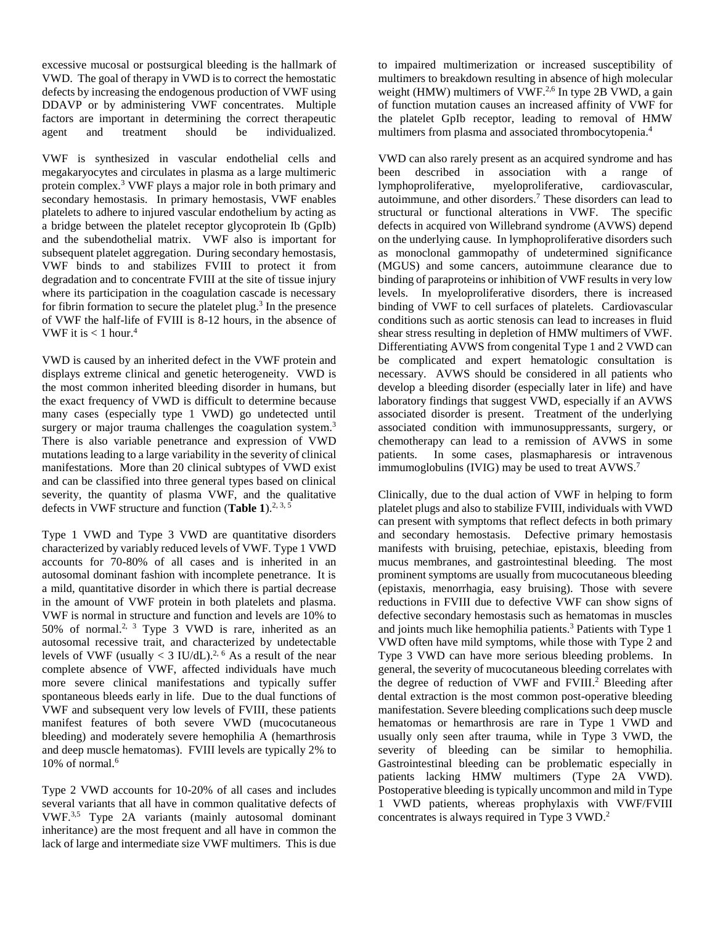excessive mucosal or postsurgical bleeding is the hallmark of VWD. The goal of therapy in VWD is to correct the hemostatic defects by increasing the endogenous production of VWF using DDAVP or by administering VWF concentrates. Multiple factors are important in determining the correct therapeutic agent and treatment should be individualized.

VWF is synthesized in vascular endothelial cells and megakaryocytes and circulates in plasma as a large multimeric protein complex.<sup>3</sup> VWF plays a major role in both primary and secondary hemostasis. In primary hemostasis, VWF enables platelets to adhere to injured vascular endothelium by acting as a bridge between the platelet receptor glycoprotein Ib (GpIb) and the subendothelial matrix. VWF also is important for subsequent platelet aggregation. During secondary hemostasis, VWF binds to and stabilizes FVIII to protect it from degradation and to concentrate FVIII at the site of tissue injury where its participation in the coagulation cascade is necessary for fibrin formation to secure the platelet plug. 3 In the presence of VWF the half-life of FVIII is 8-12 hours, in the absence of VWF it is  $< 1$  hour.<sup>4</sup>

VWD is caused by an inherited defect in the VWF protein and displays extreme clinical and genetic heterogeneity. VWD is the most common inherited bleeding disorder in humans, but the exact frequency of VWD is difficult to determine because many cases (especially type 1 VWD) go undetected until surgery or major trauma challenges the coagulation system.<sup>3</sup> There is also variable penetrance and expression of VWD mutations leading to a large variability in the severity of clinical manifestations. More than 20 clinical subtypes of VWD exist and can be classified into three general types based on clinical severity, the quantity of plasma VWF, and the qualitative defects in VWF structure and function (**Table 1**). 2, 3, 5

Type 1 VWD and Type 3 VWD are quantitative disorders characterized by variably reduced levels of VWF. Type 1 VWD accounts for 70-80% of all cases and is inherited in an autosomal dominant fashion with incomplete penetrance. It is a mild, quantitative disorder in which there is partial decrease in the amount of VWF protein in both platelets and plasma. VWF is normal in structure and function and levels are 10% to 50% of normal.<sup>2, 3</sup> Type 3 VWD is rare, inherited as an autosomal recessive trait, and characterized by undetectable levels of VWF (usually  $<$  3 IU/dL).<sup>2, 6</sup> As a result of the near complete absence of VWF, affected individuals have much more severe clinical manifestations and typically suffer spontaneous bleeds early in life. Due to the dual functions of VWF and subsequent very low levels of FVIII, these patients manifest features of both severe VWD (mucocutaneous bleeding) and moderately severe hemophilia A (hemarthrosis and deep muscle hematomas). FVIII levels are typically 2% to 10% of normal.<sup>6</sup>

Type 2 VWD accounts for 10-20% of all cases and includes several variants that all have in common qualitative defects of VWF.3,5 Type 2A variants (mainly autosomal dominant inheritance) are the most frequent and all have in common the lack of large and intermediate size VWF multimers. This is due to impaired multimerization or increased susceptibility of multimers to breakdown resulting in absence of high molecular weight (HMW) multimers of VWF.<sup>2,6</sup> In type 2B VWD, a gain of function mutation causes an increased affinity of VWF for the platelet GpIb receptor, leading to removal of HMW multimers from plasma and associated thrombocytopenia. 4

VWD can also rarely present as an acquired syndrome and has been described in association with a range of lymphoproliferative, myeloproliferative, cardiovascular, autoimmune, and other disorders. <sup>7</sup> These disorders can lead to structural or functional alterations in VWF. The specific defects in acquired von Willebrand syndrome (AVWS) depend on the underlying cause. In lymphoproliferative disorders such as monoclonal gammopathy of undetermined significance (MGUS) and some cancers, autoimmune clearance due to binding of paraproteins or inhibition of VWF results in very low levels. In myeloproliferative disorders, there is increased binding of VWF to cell surfaces of platelets. Cardiovascular conditions such as aortic stenosis can lead to increases in fluid shear stress resulting in depletion of HMW multimers of VWF. Differentiating AVWS from congenital Type 1 and 2 VWD can be complicated and expert hematologic consultation is necessary. AVWS should be considered in all patients who develop a bleeding disorder (especially later in life) and have laboratory findings that suggest VWD, especially if an AVWS associated disorder is present. Treatment of the underlying associated condition with immunosuppressants, surgery, or chemotherapy can lead to a remission of AVWS in some patients. In some cases, plasmapharesis or intravenous immumoglobulins (IVIG) may be used to treat AVWS.<sup>7</sup>

Clinically, due to the dual action of VWF in helping to form platelet plugs and also to stabilize FVIII, individuals with VWD can present with symptoms that reflect defects in both primary and secondary hemostasis. Defective primary hemostasis manifests with bruising, petechiae, epistaxis, bleeding from mucus membranes, and gastrointestinal bleeding. The most prominent symptoms are usually from mucocutaneous bleeding (epistaxis, menorrhagia, easy bruising). Those with severe reductions in FVIII due to defective VWF can show signs of defective secondary hemostasis such as hematomas in muscles and joints much like hemophilia patients. <sup>3</sup> Patients with Type 1 VWD often have mild symptoms, while those with Type 2 and Type 3 VWD can have more serious bleeding problems. In general, the severity of mucocutaneous bleeding correlates with the degree of reduction of VWF and FVIII. <sup>2</sup> Bleeding after dental extraction is the most common post-operative bleeding manifestation. Severe bleeding complications such deep muscle hematomas or hemarthrosis are rare in Type 1 VWD and usually only seen after trauma, while in Type 3 VWD, the severity of bleeding can be similar to hemophilia. Gastrointestinal bleeding can be problematic especially in patients lacking HMW multimers (Type 2A VWD). Postoperative bleeding is typically uncommon and mild in Type 1 VWD patients, whereas prophylaxis with VWF/FVIII concentrates is always required in Type 3 VWD. 2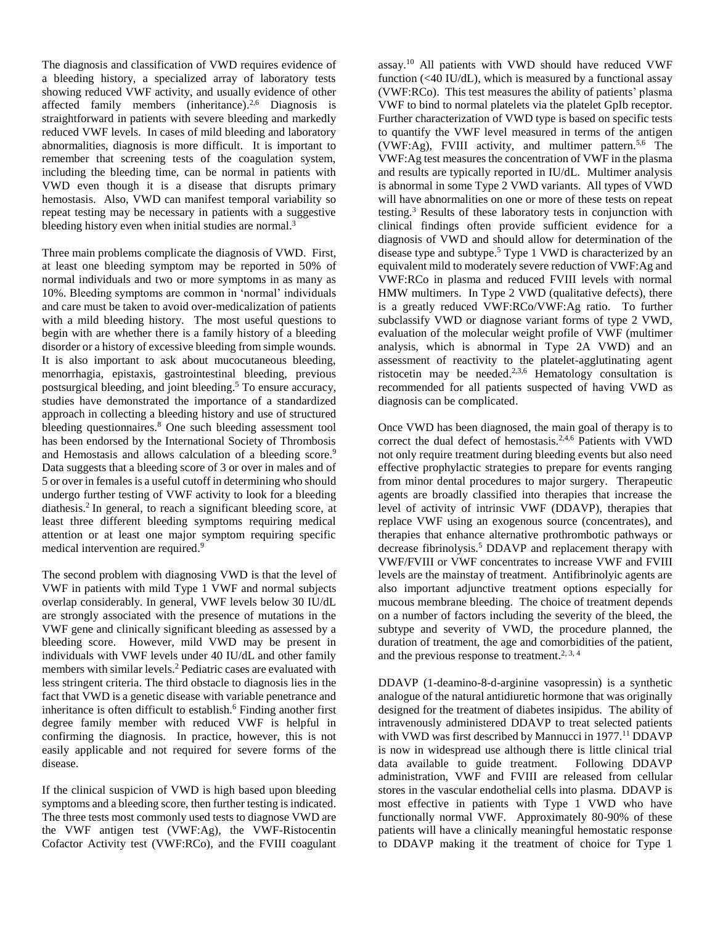The diagnosis and classification of VWD requires evidence of a bleeding history, a specialized array of laboratory tests showing reduced VWF activity, and usually evidence of other affected family members (inheritance).<sup>2,6</sup> Diagnosis is straightforward in patients with severe bleeding and markedly reduced VWF levels. In cases of mild bleeding and laboratory abnormalities, diagnosis is more difficult. It is important to remember that screening tests of the coagulation system, including the bleeding time, can be normal in patients with VWD even though it is a disease that disrupts primary hemostasis. Also, VWD can manifest temporal variability so repeat testing may be necessary in patients with a suggestive bleeding history even when initial studies are normal.<sup>3</sup>

Three main problems complicate the diagnosis of VWD. First, at least one bleeding symptom may be reported in 50% of normal individuals and two or more symptoms in as many as 10%. Bleeding symptoms are common in 'normal' individuals and care must be taken to avoid over-medicalization of patients with a mild bleeding history. The most useful questions to begin with are whether there is a family history of a bleeding disorder or a history of excessive bleeding from simple wounds. It is also important to ask about mucocutaneous bleeding, menorrhagia, epistaxis, gastrointestinal bleeding, previous postsurgical bleeding, and joint bleeding. <sup>5</sup> To ensure accuracy, studies have demonstrated the importance of a standardized approach in collecting a bleeding history and use of structured bleeding questionnaires.<sup>8</sup> One such bleeding assessment tool has been endorsed by the International Society of Thrombosis and Hemostasis and allows calculation of a bleeding score.<sup>9</sup> Data suggests that a bleeding score of 3 or over in males and of 5 or over in females is a useful cutoff in determining who should undergo further testing of VWF activity to look for a bleeding diathesis.<sup>2</sup> In general, to reach a significant bleeding score, at least three different bleeding symptoms requiring medical attention or at least one major symptom requiring specific medical intervention are required. 9

The second problem with diagnosing VWD is that the level of VWF in patients with mild Type 1 VWF and normal subjects overlap considerably. In general, VWF levels below 30 IU/dL are strongly associated with the presence of mutations in the VWF gene and clinically significant bleeding as assessed by a bleeding score. However, mild VWD may be present in individuals with VWF levels under 40 IU/dL and other family members with similar levels. <sup>2</sup> Pediatric cases are evaluated with less stringent criteria. The third obstacle to diagnosis lies in the fact that VWD is a genetic disease with variable penetrance and inheritance is often difficult to establish. <sup>6</sup> Finding another first degree family member with reduced VWF is helpful in confirming the diagnosis. In practice, however, this is not easily applicable and not required for severe forms of the disease.

If the clinical suspicion of VWD is high based upon bleeding symptoms and a bleeding score, then further testing is indicated. The three tests most commonly used tests to diagnose VWD are the VWF antigen test (VWF:Ag), the VWF-Ristocentin Cofactor Activity test (VWF:RCo), and the FVIII coagulant

assay. <sup>10</sup> All patients with VWD should have reduced VWF function ( $\langle 40 \text{ IU}/\text{dL} \rangle$ , which is measured by a functional assay (VWF:RCo). This test measures the ability of patients' plasma VWF to bind to normal platelets via the platelet GpIb receptor. Further characterization of VWD type is based on specific tests to quantify the VWF level measured in terms of the antigen (VWF:Ag), FVIII activity, and multimer pattern. 5,6 The VWF:Ag test measures the concentration of VWF in the plasma and results are typically reported in IU/dL. Multimer analysis is abnormal in some Type 2 VWD variants. All types of VWD will have abnormalities on one or more of these tests on repeat testing. <sup>3</sup> Results of these laboratory tests in conjunction with clinical findings often provide sufficient evidence for a diagnosis of VWD and should allow for determination of the disease type and subtype. <sup>5</sup> Type 1 VWD is characterized by an equivalent mild to moderately severe reduction of VWF:Ag and VWF:RCo in plasma and reduced FVIII levels with normal HMW multimers. In Type 2 VWD (qualitative defects), there is a greatly reduced VWF:RCo/VWF:Ag ratio. To further subclassify VWD or diagnose variant forms of type 2 VWD, evaluation of the molecular weight profile of VWF (multimer analysis, which is abnormal in Type 2A VWD) and an assessment of reactivity to the platelet-agglutinating agent ristocetin may be needed.<sup>2,3,6</sup> Hematology consultation is recommended for all patients suspected of having VWD as diagnosis can be complicated.

Once VWD has been diagnosed, the main goal of therapy is to correct the dual defect of hemostasis.<sup>2,4,6</sup> Patients with VWD not only require treatment during bleeding events but also need effective prophylactic strategies to prepare for events ranging from minor dental procedures to major surgery. Therapeutic agents are broadly classified into therapies that increase the level of activity of intrinsic VWF (DDAVP), therapies that replace VWF using an exogenous source (concentrates), and therapies that enhance alternative prothrombotic pathways or decrease fibrinolysis. <sup>5</sup> DDAVP and replacement therapy with VWF/FVIII or VWF concentrates to increase VWF and FVIII levels are the mainstay of treatment. Antifibrinolyic agents are also important adjunctive treatment options especially for mucous membrane bleeding. The choice of treatment depends on a number of factors including the severity of the bleed, the subtype and severity of VWD, the procedure planned, the duration of treatment, the age and comorbidities of the patient, and the previous response to treatment.<sup>2, 3, 4</sup>

DDAVP (1-deamino-8-d-arginine vasopressin) is a synthetic analogue of the natural antidiuretic hormone that was originally designed for the treatment of diabetes insipidus. The ability of intravenously administered DDAVP to treat selected patients with VWD was first described by Mannucci in 1977.<sup>11</sup> DDAVP is now in widespread use although there is little clinical trial data available to guide treatment. Following DDAVP administration, VWF and FVIII are released from cellular stores in the vascular endothelial cells into plasma. DDAVP is most effective in patients with Type 1 VWD who have functionally normal VWF. Approximately 80-90% of these patients will have a clinically meaningful hemostatic response to DDAVP making it the treatment of choice for Type 1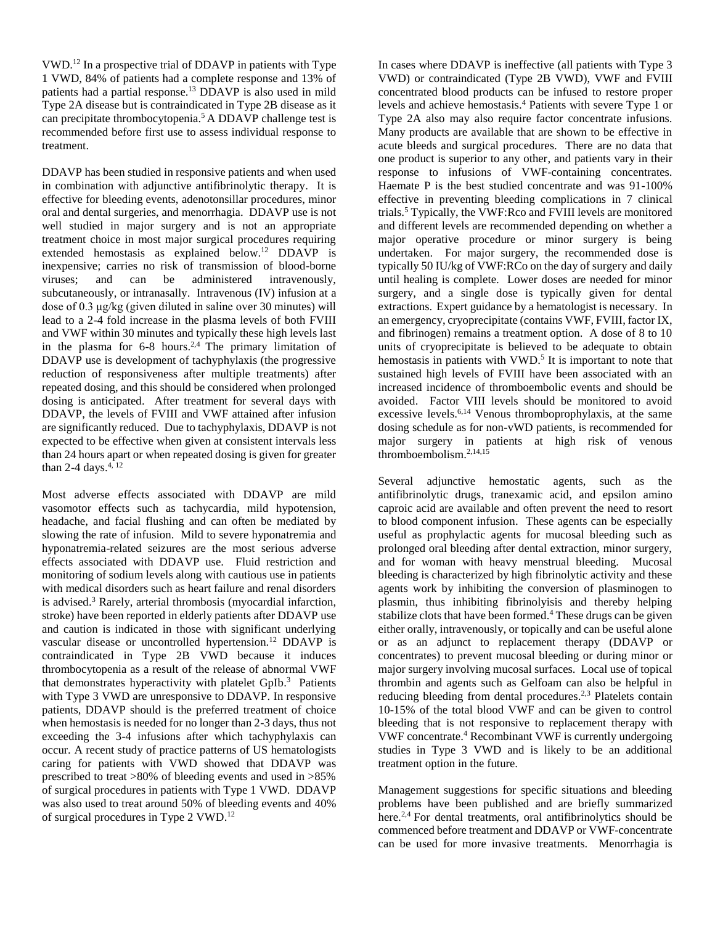VWD. <sup>12</sup> In a prospective trial of DDAVP in patients with Type 1 VWD, 84% of patients had a complete response and 13% of patients had a partial response. <sup>13</sup> DDAVP is also used in mild Type 2A disease but is contraindicated in Type 2B disease as it can precipitate thrombocytopenia. <sup>5</sup> A DDAVP challenge test is recommended before first use to assess individual response to treatment.

DDAVP has been studied in responsive patients and when used in combination with adjunctive antifibrinolytic therapy. It is effective for bleeding events, adenotonsillar procedures, minor oral and dental surgeries, and menorrhagia. DDAVP use is not well studied in major surgery and is not an appropriate treatment choice in most major surgical procedures requiring extended hemostasis as explained below.<sup>12</sup> DDAVP is inexpensive; carries no risk of transmission of blood-borne viruses; and can be administered intravenously, subcutaneously, or intranasally. Intravenous (IV) infusion at a dose of 0.3 μg/kg (given diluted in saline over 30 minutes) will lead to a 2-4 fold increase in the plasma levels of both FVIII and VWF within 30 minutes and typically these high levels last in the plasma for  $6-8$  hours.<sup>2,4</sup> The primary limitation of DDAVP use is development of tachyphylaxis (the progressive reduction of responsiveness after multiple treatments) after repeated dosing, and this should be considered when prolonged dosing is anticipated. After treatment for several days with DDAVP, the levels of FVIII and VWF attained after infusion are significantly reduced. Due to tachyphylaxis, DDAVP is not expected to be effective when given at consistent intervals less than 24 hours apart or when repeated dosing is given for greater than 2-4 days. $4, 12$ 

Most adverse effects associated with DDAVP are mild vasomotor effects such as tachycardia, mild hypotension, headache, and facial flushing and can often be mediated by slowing the rate of infusion. Mild to severe hyponatremia and hyponatremia-related seizures are the most serious adverse effects associated with DDAVP use. Fluid restriction and monitoring of sodium levels along with cautious use in patients with medical disorders such as heart failure and renal disorders is advised. <sup>3</sup> Rarely, arterial thrombosis (myocardial infarction, stroke) have been reported in elderly patients after DDAVP use and caution is indicated in those with significant underlying vascular disease or uncontrolled hypertension.<sup>12</sup> DDAVP is contraindicated in Type 2B VWD because it induces thrombocytopenia as a result of the release of abnormal VWF that demonstrates hyperactivity with platelet GpIb.<sup>3</sup> Patients with Type 3 VWD are unresponsive to DDAVP. In responsive patients, DDAVP should is the preferred treatment of choice when hemostasis is needed for no longer than 2-3 days, thus not exceeding the 3-4 infusions after which tachyphylaxis can occur. A recent study of practice patterns of US hematologists caring for patients with VWD showed that DDAVP was prescribed to treat >80% of bleeding events and used in >85% of surgical procedures in patients with Type 1 VWD. DDAVP was also used to treat around 50% of bleeding events and 40% of surgical procedures in Type 2 VWD. 12

In cases where DDAVP is ineffective (all patients with Type 3 VWD) or contraindicated (Type 2B VWD), VWF and FVIII concentrated blood products can be infused to restore proper levels and achieve hemostasis. <sup>4</sup> Patients with severe Type 1 or Type 2A also may also require factor concentrate infusions. Many products are available that are shown to be effective in acute bleeds and surgical procedures. There are no data that one product is superior to any other, and patients vary in their response to infusions of VWF-containing concentrates. Haemate P is the best studied concentrate and was 91-100% effective in preventing bleeding complications in 7 clinical trials. <sup>5</sup> Typically, the VWF:Rco and FVIII levels are monitored and different levels are recommended depending on whether a major operative procedure or minor surgery is being undertaken. For major surgery, the recommended dose is typically 50 IU/kg of VWF:RCo on the day of surgery and daily until healing is complete. Lower doses are needed for minor surgery, and a single dose is typically given for dental extractions. Expert guidance by a hematologist is necessary. In an emergency, cryoprecipitate (contains VWF, FVIII, factor IX, and fibrinogen) remains a treatment option. A dose of 8 to 10 units of cryoprecipitate is believed to be adequate to obtain hemostasis in patients with VWD.<sup>5</sup> It is important to note that sustained high levels of FVIII have been associated with an increased incidence of thromboembolic events and should be avoided. Factor VIII levels should be monitored to avoid excessive levels.<sup>6,14</sup> Venous thromboprophylaxis, at the same dosing schedule as for non-vWD patients, is recommended for major surgery in patients at high risk of venous thromboembolism. 2,14,15

Several adjunctive hemostatic agents, such as the antifibrinolytic drugs, tranexamic acid, and epsilon amino caproic acid are available and often prevent the need to resort to blood component infusion. These agents can be especially useful as prophylactic agents for mucosal bleeding such as prolonged oral bleeding after dental extraction, minor surgery, and for woman with heavy menstrual bleeding. Mucosal bleeding is characterized by high fibrinolytic activity and these agents work by inhibiting the conversion of plasminogen to plasmin, thus inhibiting fibrinolyisis and thereby helping stabilize clots that have been formed. <sup>4</sup> These drugs can be given either orally, intravenously, or topically and can be useful alone or as an adjunct to replacement therapy (DDAVP or concentrates) to prevent mucosal bleeding or during minor or major surgery involving mucosal surfaces. Local use of topical thrombin and agents such as Gelfoam can also be helpful in reducing bleeding from dental procedures.<sup>2,3</sup> Platelets contain 10-15% of the total blood VWF and can be given to control bleeding that is not responsive to replacement therapy with VWF concentrate. <sup>4</sup> Recombinant VWF is currently undergoing studies in Type 3 VWD and is likely to be an additional treatment option in the future.

Management suggestions for specific situations and bleeding problems have been published and are briefly summarized here.<sup>2,4</sup> For dental treatments, oral antifibrinolytics should be commenced before treatment and DDAVP or VWF-concentrate can be used for more invasive treatments. Menorrhagia is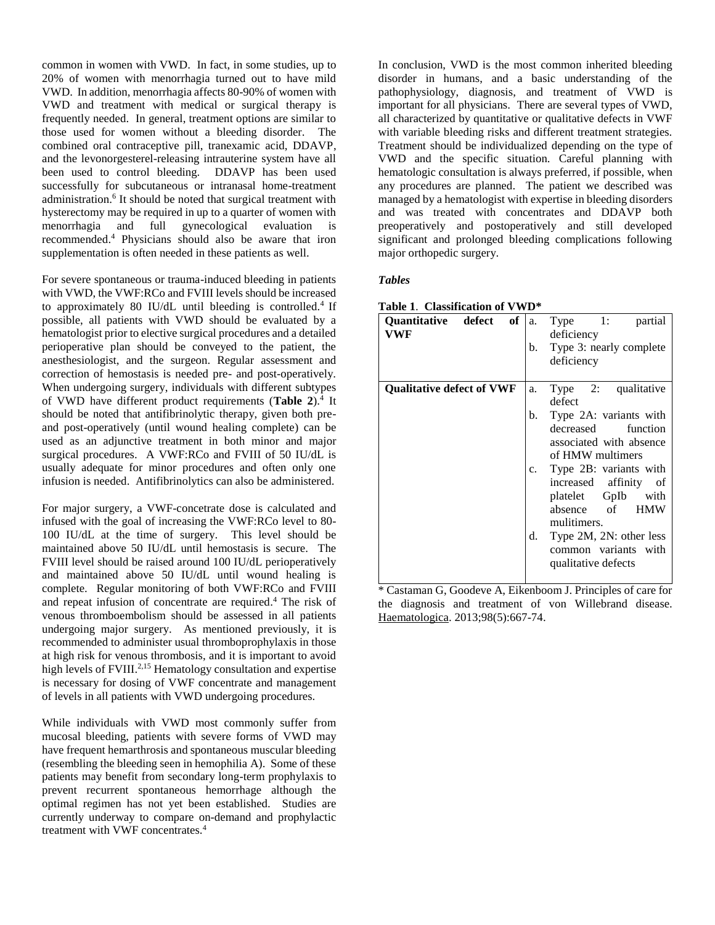common in women with VWD. In fact, in some studies, up to 20% of women with menorrhagia turned out to have mild VWD. In addition, menorrhagia affects 80-90% of women with VWD and treatment with medical or surgical therapy is frequently needed. In general, treatment options are similar to those used for women without a bleeding disorder. The combined oral contraceptive pill, tranexamic acid, DDAVP, and the levonorgesterel-releasing intrauterine system have all been used to control bleeding. DDAVP has been used successfully for subcutaneous or intranasal home-treatment administration. 6 It should be noted that surgical treatment with hysterectomy may be required in up to a quarter of women with menorrhagia and full gynecological evaluation is recommended. <sup>4</sup> Physicians should also be aware that iron supplementation is often needed in these patients as well.

For severe spontaneous or trauma-induced bleeding in patients with VWD, the VWF:RCo and FVIII levels should be increased to approximately 80 IU/dL until bleeding is controlled.<sup>4</sup> If possible, all patients with VWD should be evaluated by a hematologist prior to elective surgical procedures and a detailed perioperative plan should be conveyed to the patient, the anesthesiologist, and the surgeon. Regular assessment and correction of hemostasis is needed pre- and post-operatively. When undergoing surgery, individuals with different subtypes of VWD have different product requirements (**Table 2**).<sup>4</sup> It should be noted that antifibrinolytic therapy, given both preand post-operatively (until wound healing complete) can be used as an adjunctive treatment in both minor and major surgical procedures. A VWF:RCo and FVIII of 50 IU/dL is usually adequate for minor procedures and often only one infusion is needed. Antifibrinolytics can also be administered.

For major surgery, a VWF-concetrate dose is calculated and infused with the goal of increasing the VWF:RCo level to 80- 100 IU/dL at the time of surgery. This level should be maintained above 50 IU/dL until hemostasis is secure. The FVIII level should be raised around 100 IU/dL perioperatively and maintained above 50 IU/dL until wound healing is complete. Regular monitoring of both VWF:RCo and FVIII and repeat infusion of concentrate are required. <sup>4</sup> The risk of venous thromboembolism should be assessed in all patients undergoing major surgery. As mentioned previously, it is recommended to administer usual thromboprophylaxis in those at high risk for venous thrombosis, and it is important to avoid high levels of FVIII.<sup>2,15</sup> Hematology consultation and expertise is necessary for dosing of VWF concentrate and management of levels in all patients with VWD undergoing procedures.

While individuals with VWD most commonly suffer from mucosal bleeding, patients with severe forms of VWD may have frequent hemarthrosis and spontaneous muscular bleeding (resembling the bleeding seen in hemophilia A). Some of these patients may benefit from secondary long-term prophylaxis to prevent recurrent spontaneous hemorrhage although the optimal regimen has not yet been established. Studies are currently underway to compare on-demand and prophylactic treatment with VWF concentrates.<sup>4</sup>

In conclusion, VWD is the most common inherited bleeding disorder in humans, and a basic understanding of the pathophysiology, diagnosis, and treatment of VWD is important for all physicians. There are several types of VWD, all characterized by quantitative or qualitative defects in VWF with variable bleeding risks and different treatment strategies. Treatment should be individualized depending on the type of VWD and the specific situation. Careful planning with hematologic consultation is always preferred, if possible, when any procedures are planned. The patient we described was managed by a hematologist with expertise in bleeding disorders and was treated with concentrates and DDAVP both preoperatively and postoperatively and still developed significant and prolonged bleeding complications following major orthopedic surgery.

## *Tables*

| of<br>Quantitative defect<br>VWF | $Type$ 1:<br>partial<br>a.<br>deficiency                                                                                                                                            |
|----------------------------------|-------------------------------------------------------------------------------------------------------------------------------------------------------------------------------------|
|                                  | Type 3: nearly complete<br>b.<br>deficiency                                                                                                                                         |
| <b>Qualitative defect of VWF</b> | Type 2: qualitative<br>a.<br>defect                                                                                                                                                 |
|                                  | Type 2A: variants with<br>b.<br>decreased<br>function<br>associated with absence<br>of HMW multimers<br>Type 2B: variants with<br>c.<br>increased affinity of<br>platelet GpIb with |
|                                  | absence of<br><b>HMW</b><br>mulitimers.<br>Type 2M, 2N: other less<br>d.<br>common variants with<br>qualitative defects                                                             |

| Table 1. Classification of VWD* |  |
|---------------------------------|--|
|                                 |  |

\* Castaman G, Goodeve A, Eikenboom J. Principles of care for the diagnosis and treatment of von Willebrand disease. Haematologica. 2013;98(5):667-74.